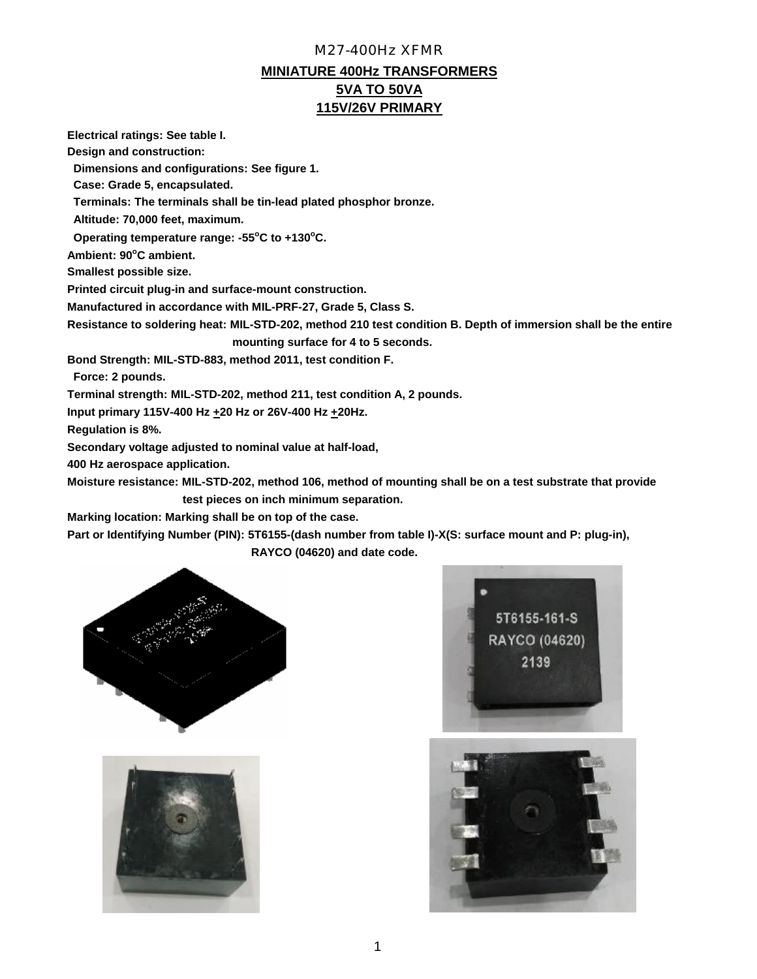**Electrical ratings: See table I.**

**Design and construction:**

 **Dimensions and configurations: See figure 1.**

 **Case: Grade 5, encapsulated.**

 **Terminals: The terminals shall be tin-lead plated phosphor bronze.**

 **Altitude: 70,000 feet, maximum.**

 **Operating temperature range: -55<sup>o</sup>C to +130<sup>o</sup>C.**

**Ambient: 90<sup>o</sup>C ambient.**

**Smallest possible size.**

**Printed circuit plug-in and surface-mount construction.**

**Manufactured in accordance with MIL-PRF-27, Grade 5, Class S.**

**Resistance to soldering heat: MIL-STD-202, method 210 test condition B. Depth of immersion shall be the entire mounting surface for 4 to 5 seconds.**

**Bond Strength: MIL-STD-883, method 2011, test condition F.**

 **Force: 2 pounds.**

**Terminal strength: MIL-STD-202, method 211, test condition A, 2 pounds.**

**Input primary 115V-400 Hz +20 Hz or 26V-400 Hz +20Hz.**

**Regulation is 8%.**

**Secondary voltage adjusted to nominal value at half-load,**

**400 Hz aerospace application.**

**Moisture resistance: MIL-STD-202, method 106, method of mounting shall be on a test substrate that provide test pieces on inch minimum separation.**

**Marking location: Marking shall be on top of the case.**

**Part or Identifying Number (PIN): 5T6155-(dash number from table I)-X(S: surface mount and P: plug-in), RAYCO (04620) and date code.**







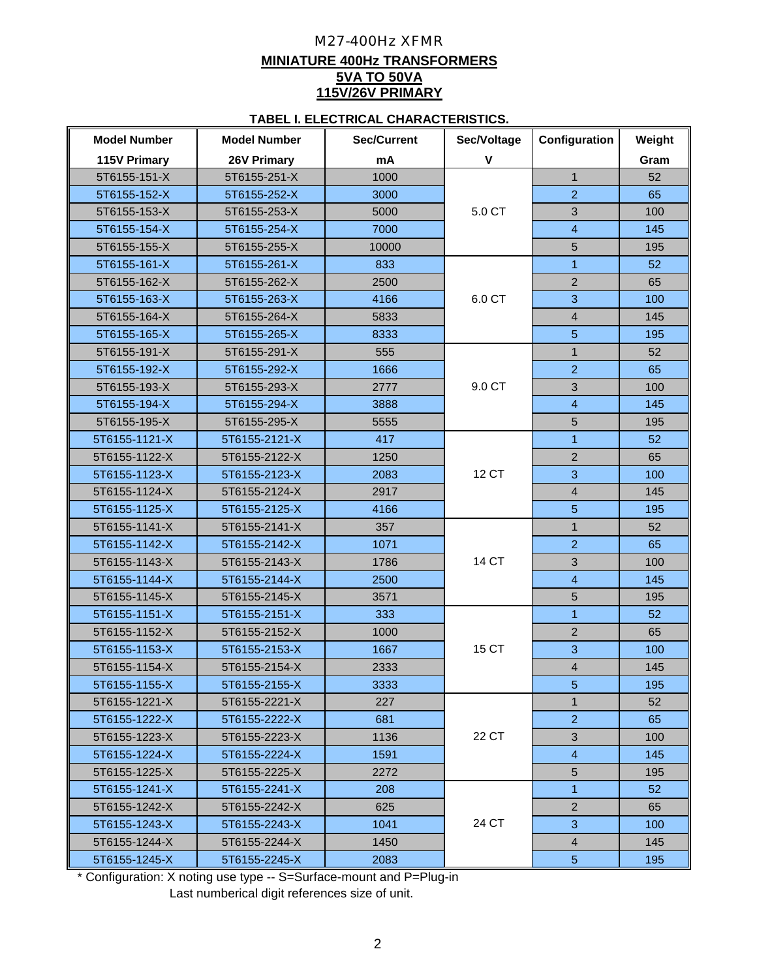#### **TABEL I. ELECTRICAL CHARACTERISTICS.**

| <b>Model Number</b> | <b>Model Number</b> | <b>Sec/Current</b> | Sec/Voltage  | Configuration  | Weight |
|---------------------|---------------------|--------------------|--------------|----------------|--------|
| 115V Primary        | 26V Primary         | mA                 | $\mathsf{V}$ |                | Gram   |
| 5T6155-151-X        | 5T6155-251-X        | 1000               |              | $\mathbf{1}$   | 52     |
| 5T6155-152-X        | 5T6155-252-X        | 3000               |              | $\overline{2}$ | 65     |
| 5T6155-153-X        | 5T6155-253-X        | 5000               | 5.0 CT       | 3              | 100    |
| 5T6155-154-X        | 5T6155-254-X        | 7000               |              | $\overline{4}$ | 145    |
| 5T6155-155-X        | 5T6155-255-X        | 10000              |              | 5              | 195    |
| 5T6155-161-X        | 5T6155-261-X        | 833                |              | $\mathbf{1}$   | 52     |
| 5T6155-162-X        | 5T6155-262-X        | 2500               |              | $\overline{2}$ | 65     |
| 5T6155-163-X        | 5T6155-263-X        | 4166               | 6.0 CT       | 3              | 100    |
| 5T6155-164-X        | 5T6155-264-X        | 5833               |              | $\overline{4}$ | 145    |
| 5T6155-165-X        | 5T6155-265-X        | 8333               |              | $\overline{5}$ | 195    |
| 5T6155-191-X        | 5T6155-291-X        | 555                |              | $\mathbf{1}$   | 52     |
| 5T6155-192-X        | 5T6155-292-X        | 1666               |              | $\overline{2}$ | 65     |
| 5T6155-193-X        | 5T6155-293-X        | 2777               | 9.0 CT       | 3              | 100    |
| 5T6155-194-X        | 5T6155-294-X        | 3888               |              | $\overline{4}$ | 145    |
| 5T6155-195-X        | 5T6155-295-X        | 5555               |              | 5              | 195    |
| 5T6155-1121-X       | 5T6155-2121-X       | 417                |              | $\mathbf{1}$   | 52     |
| 5T6155-1122-X       | 5T6155-2122-X       | 1250               |              | $\overline{2}$ | 65     |
| 5T6155-1123-X       | 5T6155-2123-X       | 2083               | 12 CT        | 3              | 100    |
| 5T6155-1124-X       | 5T6155-2124-X       | 2917               |              | $\overline{4}$ | 145    |
| 5T6155-1125-X       | 5T6155-2125-X       | 4166               |              | $\overline{5}$ | 195    |
| 5T6155-1141-X       | 5T6155-2141-X       | 357                |              | $\mathbf{1}$   | 52     |
| 5T6155-1142-X       | 5T6155-2142-X       | 1071               |              | $\overline{2}$ | 65     |
| 5T6155-1143-X       | 5T6155-2143-X       | 1786               | 14 CT        | 3              | 100    |
| 5T6155-1144-X       | 5T6155-2144-X       | 2500               |              | $\overline{4}$ | 145    |
| 5T6155-1145-X       | 5T6155-2145-X       | 3571               |              | 5              | 195    |
| 5T6155-1151-X       | 5T6155-2151-X       | 333                |              | $\overline{1}$ | 52     |
| 5T6155-1152-X       | 5T6155-2152-X       | 1000               |              | $\overline{2}$ | 65     |
| 5T6155-1153-X       | 5T6155-2153-X       | 1667               | 15 CT        | 3              | 100    |
| 5T6155-1154-X       | 5T6155-2154-X       | 2333               |              | $\overline{4}$ | 145    |
| 5T6155-1155-X       | 5T6155-2155-X       | 3333               |              | 5              | 195    |
| 5T6155-1221-X       | 5T6155-2221-X       | 227                |              | $\mathbf{1}$   | 52     |
| 5T6155-1222-X       | 5T6155-2222-X       | 681                |              | $\overline{2}$ | 65     |
| 5T6155-1223-X       | 5T6155-2223-X       | 1136               | 22 CT        | 3              | 100    |
| 5T6155-1224-X       | 5T6155-2224-X       | 1591               |              | $\overline{4}$ | 145    |
| 5T6155-1225-X       | 5T6155-2225-X       | 2272               |              | $\sqrt{5}$     | 195    |
| 5T6155-1241-X       | 5T6155-2241-X       | 208                |              | $\mathbf{1}$   | 52     |
| 5T6155-1242-X       | 5T6155-2242-X       | 625                |              | $\overline{2}$ | 65     |
| 5T6155-1243-X       | 5T6155-2243-X       | 1041               | 24 CT        | 3              | 100    |
| 5T6155-1244-X       | 5T6155-2244-X       | 1450               |              | $\overline{4}$ | 145    |
| 5T6155-1245-X       | 5T6155-2245-X       | 2083               |              | 5 <sub>5</sub> | 195    |

 \* Configuration: X noting use type -- S=Surface-mount and P=Plug-in Last numberical digit references size of unit.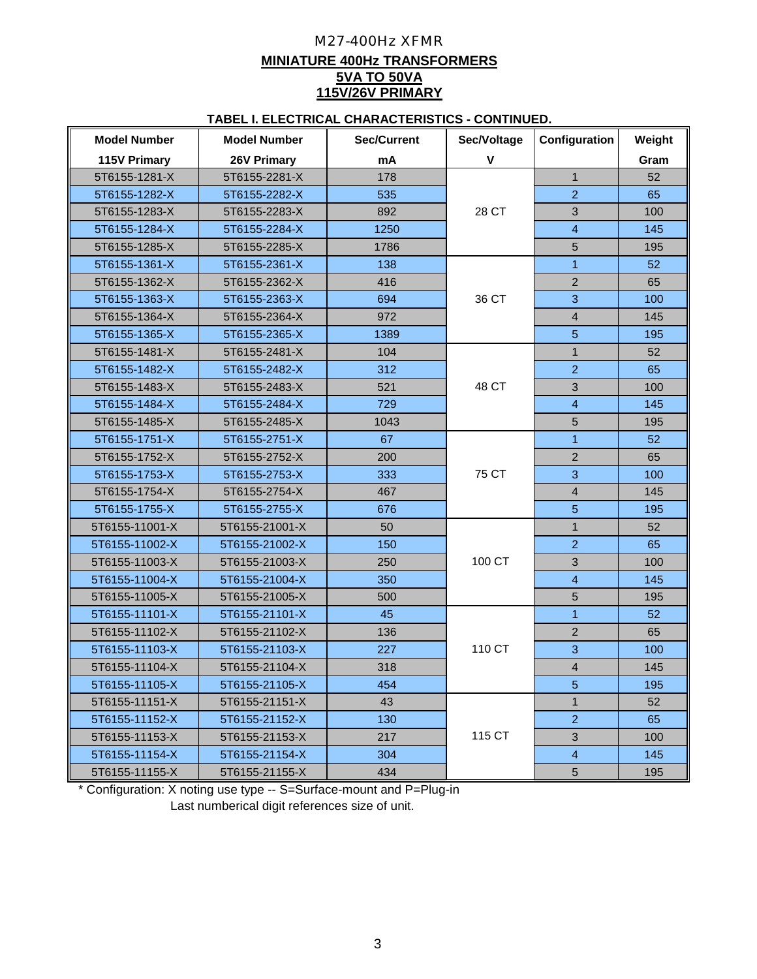## **TABEL I. ELECTRICAL CHARACTERISTICS - CONTINUED.**

| <b>Model Number</b> | <b>Model Number</b> | <b>Sec/Current</b> | Sec/Voltage  |                           | Weight |
|---------------------|---------------------|--------------------|--------------|---------------------------|--------|
| 115V Primary        | <b>26V Primary</b>  | mA                 | $\mathsf{V}$ |                           | Gram   |
| 5T6155-1281-X       | 5T6155-2281-X       | 178                |              | $\mathbf{1}$              | 52     |
| 5T6155-1282-X       | 5T6155-2282-X       | 535                |              | $\overline{2}$            | 65     |
| 5T6155-1283-X       | 5T6155-2283-X       | 892                | 28 CT        | $\mathfrak{Z}$            | 100    |
| 5T6155-1284-X       | 5T6155-2284-X       | 1250               |              | $\overline{4}$            | 145    |
| 5T6155-1285-X       | 5T6155-2285-X       | 1786               |              | 5                         | 195    |
| 5T6155-1361-X       | 5T6155-2361-X       | 138                |              | $\mathbf{1}$              | 52     |
| 5T6155-1362-X       | 5T6155-2362-X       | 416                |              | $\overline{2}$            | 65     |
| 5T6155-1363-X       | 5T6155-2363-X       | 694                | 36 CT        | 3                         | 100    |
| 5T6155-1364-X       | 5T6155-2364-X       | 972                |              | $\overline{4}$            | 145    |
| 5T6155-1365-X       | 5T6155-2365-X       | 1389               |              | $5\phantom{.0}$           | 195    |
| 5T6155-1481-X       | 5T6155-2481-X       | 104                |              | $\mathbf{1}$              | 52     |
| 5T6155-1482-X       | 5T6155-2482-X       | 312                |              | $\overline{2}$            | 65     |
| 5T6155-1483-X       | 5T6155-2483-X       | 521                | 48 CT        | 3                         | 100    |
| 5T6155-1484-X       | 5T6155-2484-X       | 729                |              | $\overline{4}$            | 145    |
| 5T6155-1485-X       | 5T6155-2485-X       | 1043               |              | 5                         | 195    |
| 5T6155-1751-X       | 5T6155-2751-X       | 67                 |              | $\mathbf{1}$              | 52     |
| 5T6155-1752-X       | 5T6155-2752-X       | 200                |              | $\overline{2}$            | 65     |
| 5T6155-1753-X       | 5T6155-2753-X       | 333                | 75 CT        | $\overline{3}$            | 100    |
| 5T6155-1754-X       | 5T6155-2754-X       | 467                |              | $\overline{4}$            | 145    |
| 5T6155-1755-X       | 5T6155-2755-X       | 676                |              | $5\phantom{1}$            | 195    |
| 5T6155-11001-X      | 5T6155-21001-X      | 50                 |              | $\mathbf{1}$              | 52     |
| 5T6155-11002-X      | 5T6155-21002-X      | 150                |              | $\overline{2}$            | 65     |
| 5T6155-11003-X      | 5T6155-21003-X      | 250                | 100 CT       | 3                         | 100    |
| 5T6155-11004-X      | 5T6155-21004-X      | 350                |              | $\overline{4}$            | 145    |
| 5T6155-11005-X      | 5T6155-21005-X      | 500                |              | 5                         | 195    |
| 5T6155-11101-X      | 5T6155-21101-X      | 45                 |              | $\mathbf{1}$              | 52     |
| 5T6155-11102-X      | 5T6155-21102-X      | 136                |              | $\overline{2}$            | 65     |
| 5T6155-11103-X      | 5T6155-21103-X      | 227                | 110 CT       | $\overline{3}$            | 100    |
| 5T6155-11104-X      | 5T6155-21104-X      | 318                |              | $\overline{4}$            | 145    |
| 5T6155-11105-X      | 5T6155-21105-X      | 454                |              | $5\phantom{.}$            | 195    |
| 5T6155-11151-X      | 5T6155-21151-X      | 43                 |              | $\mathbf{1}$              | 52     |
| 5T6155-11152-X      | 5T6155-21152-X      | 130                |              | $\overline{2}$            | 65     |
| 5T6155-11153-X      | 5T6155-21153-X      | 217                | 115 CT       | $\ensuremath{\mathsf{3}}$ | 100    |
| 5T6155-11154-X      | 5T6155-21154-X      | 304                |              | $\overline{4}$            | 145    |
| 5T6155-11155-X      | 5T6155-21155-X      | 434                |              | 5                         | 195    |

 Last numberical digit references size of unit. \* Configuration: X noting use type -- S=Surface-mount and P=Plug-in